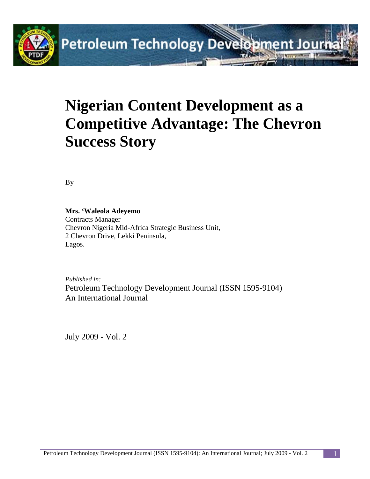

# **Nigerian Content Development as a Competitive Advantage: The Chevron Success Story**

By

#### **Mrs. 'Waleola Adeyemo**

Contracts Manager Chevron Nigeria Mid-Africa Strategic Business Unit, 2 Chevron Drive, Lekki Peninsula, Lagos.

*Published in:* Petroleum Technology Development Journal (ISSN 1595-9104) An International Journal

July 2009 - Vol. 2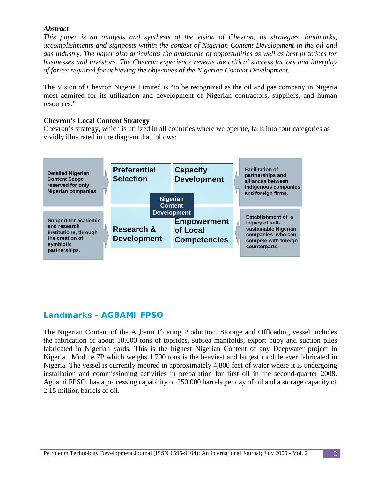### *Abstract*

*This paper is an analysis and synthesis of the vision of Chevron, its strategies, landmarks, accomplishments and signposts within the context of Nigerian Content Development in the oil and gas industry. The paper also articulates the avalanche of opportunities as well as best practices for businesses and investors. The Chevron experience reveals the critical success factors and interplay of forces required for achieving the objectives of the Nigerian Content Development.*

The Vision of Chevron Nigeria Limited is "to be recognized as the oil and gas company in Nigeria most admired for its utilization and development of Nigerian contractors, suppliers, and human resources."

#### **Chevron's Local Content Strategy**

Chevron's strategy, which is utilized in all countries where we operate, falls into four categories as vividly illustrated in the diagram that follows:



# **Landmarks - AGBAMI FPSO**

The Nigerian Content of the Agbami Floating Production, Storage and Offloading vessel includes the fabrication of about 10,000 tons of topsides, subsea manifolds, export buoy and suction piles fabricated in Nigerian yards. This is the highest Nigerian Content of any Deepwater project in Nigeria. Module 7P which weighs 1,700 tons is the heaviest and largest module ever fabricated in Nigeria. The vessel is currently moored in approximately 4,800 feet of water where it is undergoing installation and commissioning activities in preparation for first oil in the second-quarter 2008. Agbami FPSO, has a processing capability of 250,000 barrels per day of oil and a storage capacity of 2.15 million barrels of oil.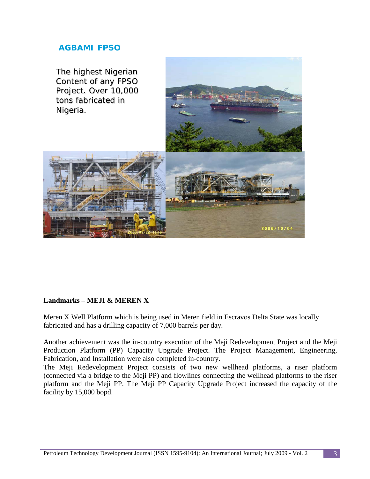# **AGBAMI FPSO**



#### **Landmarks – MEJI & MEREN X**

Meren X Well Platform which is being used in Meren field in Escravos Delta State was locally fabricated and has a drilling capacity of 7,000 barrels per day.

Another achievement was the in-country execution of the Meji Redevelopment Project and the Meji Production Platform (PP) Capacity Upgrade Project. The Project Management, Engineering, Fabrication, and Installation were also completed in-country.

The Meji Redevelopment Project consists of two new wellhead platforms, a riser platform (connected via a bridge to the Meji PP) and flowlines connecting the wellhead platforms to the riser platform and the Meji PP. The Meji PP Capacity Upgrade Project increased the capacity of the facility by 15,000 bopd.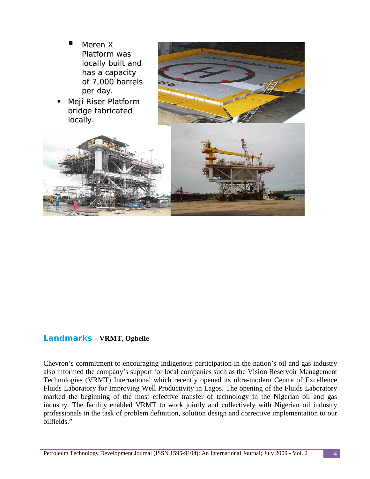

 Meji Riser Platform bridge fabricated locally.





# **Landmarks – VRMT, Ogbelle**

Chevron's commitment to encouraging indigenous participation in the nation's oil and gas industry also informed the company's support for local companies such as the Vision Reservoir Management Technologies (VRMT) International which recently opened its ultra-modern Centre of Excellence Fluids Laboratory for Improving Well Productivity in Lagos. The opening of the Fluids Laboratory marked the beginning of the most effective transfer of technology in the Nigerian oil and gas industry. The facility enabled VRMT to work jointly and collectively with Nigerian oil industry professionals in the task of problem definition, solution design and corrective implementation to our oilfields."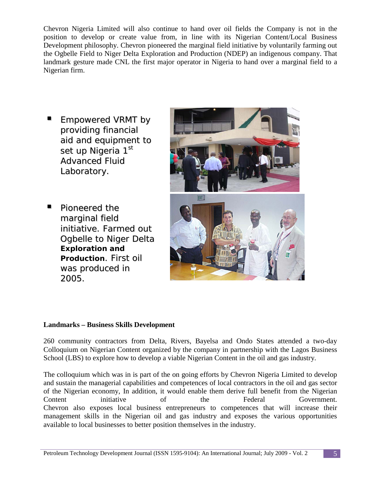Chevron Nigeria Limited will also continue to hand over oil fields the Company is not in the position to develop or create value from, in line with its Nigerian Content/Local Business Development philosophy. Chevron pioneered the marginal field initiative by voluntarily farming out the Ogbelle Field to Niger Delta Exploration and Production (NDEP) an indigenous company. That landmark gesture made CNL the first major operator in Nigeria to hand over a marginal field to a Nigerian firm.

- Empowered VRMT by providing financial aid and equipment to set up Nigeria 1<sup>st</sup> Advanced Fluid Laboratory.
- Pioneered the marginal field initiative. Farmed out Ogbelle to Niger Delta **Exploration and Production**. First oil was produced in 2005.



# **Landmarks – Business Skills Development**

260 community contractors from Delta, Rivers, Bayelsa and Ondo States attended a two-day Colloquium on Nigerian Content organized by the company in partnership with the Lagos Business School (LBS) to explore how to develop a viable Nigerian Content in the oil and gas industry.

The colloquium which was in is part of the on going efforts by Chevron Nigeria Limited to develop and sustain the managerial capabilities and competences of local contractors in the oil and gas sector of the Nigerian economy, In addition, it would enable them derive full benefit from the Nigerian Content initiative of the Federal Government. Chevron also exposes local business entrepreneurs to competences that will increase their management skills in the Nigerian oil and gas industry and exposes the various opportunities available to local businesses to better position themselves in the industry.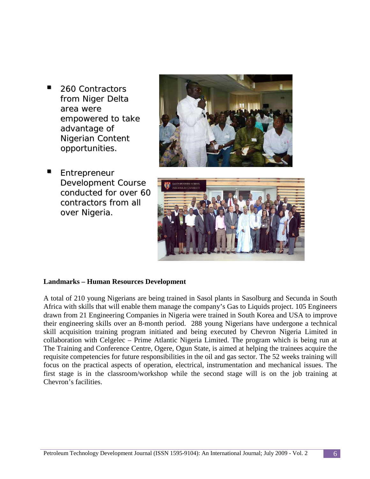<sup>260</sup> Contractors from Niger Delta area were empowered to take advantage of Nigerian Content opportunities.







#### **Landmarks – Human Resources Development**

A total of 210 young Nigerians are being trained in Sasol plants in Sasolburg and Secunda in South Africa with skills that will enable them manage the company's Gas to Liquids project. 105 Engineers drawn from 21 Engineering Companies in Nigeria were trained in South Korea and USA to improve their engineering skills over an 8-month period. 288 young Nigerians have undergone a technical skill acquisition training program initiated and being executed by Chevron Nigeria Limited in collaboration with Celgelec – Prime Atlantic Nigeria Limited. The program which is being run at The Training and Conference Centre, Ogere, Ogun State, is aimed at helping the trainees acquire the requisite competencies for future responsibilities in the oil and gas sector. The 52 weeks training will focus on the practical aspects of operation, electrical, instrumentation and mechanical issues. The first stage is in the classroom/workshop while the second stage will is on the job training at Chevron's facilities.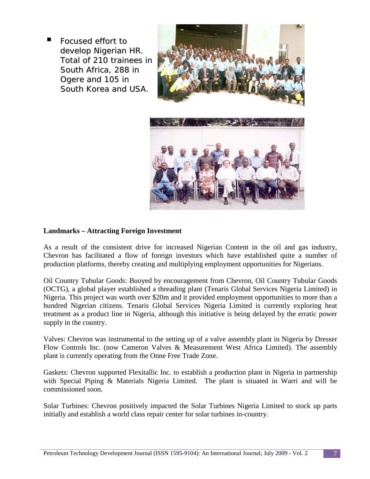Focused effort to develop Nigerian HR. Total of 210 trainees in South Africa, 288 in Ogere and 105 in South Korea and USA.



#### **Landmarks – Attracting Foreign Investment**

As a result of the consistent drive for increased Nigerian Content in the oil and gas industry, Chevron has facilitated a flow of foreign investors which have established quite a number of production platforms, thereby creating and multiplying employment opportunities for Nigerians.

Oil Country Tubular Goods: Buoyed by encouragement from Chevron, Oil Country Tubular Goods (OCTG), a global player established a threading plant (Tenaris Global Services Nigeria Limited) in Nigeria. This project was worth over \$20m and it provided employment opportunities to more than a hundred Nigerian citizens. Tenaris Global Services Nigeria Limited is currently exploring heat treatment as a product line in Nigeria, although this initiative is being delayed by the erratic power supply in the country.

Valves: Chevron was instrumental to the setting up of a valve assembly plant in Nigeria by Dresser Flow Controls Inc. (now Cameron Valves & Measurement West Africa Limited). The assembly plant is currently operating from the Onne Free Trade Zone.

Gaskets: Chevron supported Flexitallic Inc. to establish a production plant in Nigeria in partnership with Special Piping & Materials Nigeria Limited. The plant is situated in Warri and will be commissioned soon.

Solar Turbines: Chevron positively impacted the Solar Turbines Nigeria Limited to stock up parts initially and establish a world class repair center for solar turbines in-country.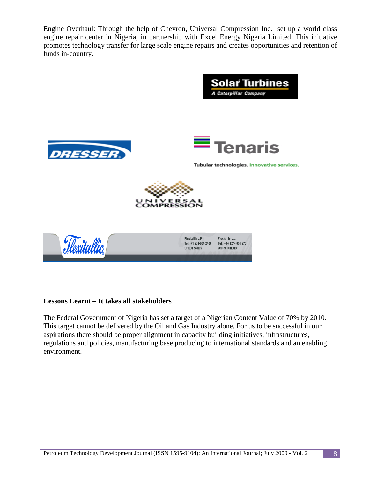Engine Overhaul: Through the help of Chevron, Universal Compression Inc. set up a world class engine repair center in Nigeria, in partnership with Excel Energy Nigeria Limited. This initiative promotes technology transfer for large scale engine repairs and creates opportunities and retention of funds in-country.



#### **Lessons Learnt – It takes all stakeholders**

The Federal Government of Nigeria has set a target of a Nigerian Content Value of 70% by 2010. This target cannot be delivered by the Oil and Gas Industry alone. For us to be successful in our aspirations there should be proper alignment in capacity building initiatives, infrastructures, regulations and policies, manufacturing base producing to international standards and an enabling environment.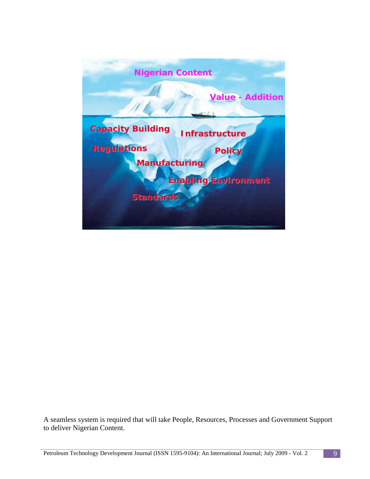

A seamless system is required that will take People, Resources, Processes and Government Support to deliver Nigerian Content.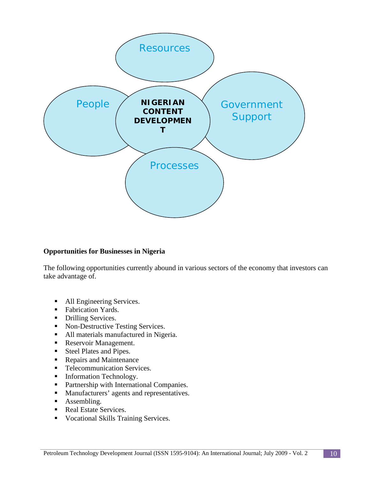

# **Opportunities for Businesses in Nigeria**

The following opportunities currently abound in various sectors of the economy that investors can take advantage of.

- All Engineering Services.
- **Fabrication Yards.**
- Drilling Services.
- Non-Destructive Testing Services.
- All materials manufactured in Nigeria.
- **Reservoir Management.**
- Steel Plates and Pipes.
- Repairs and Maintenance
- **Telecommunication Services.**
- **Information Technology.**
- **•** Partnership with International Companies.
- **Manufacturers' agents and representatives.**
- Assembling.
- Real Estate Services.
- **Vocational Skills Training Services.**